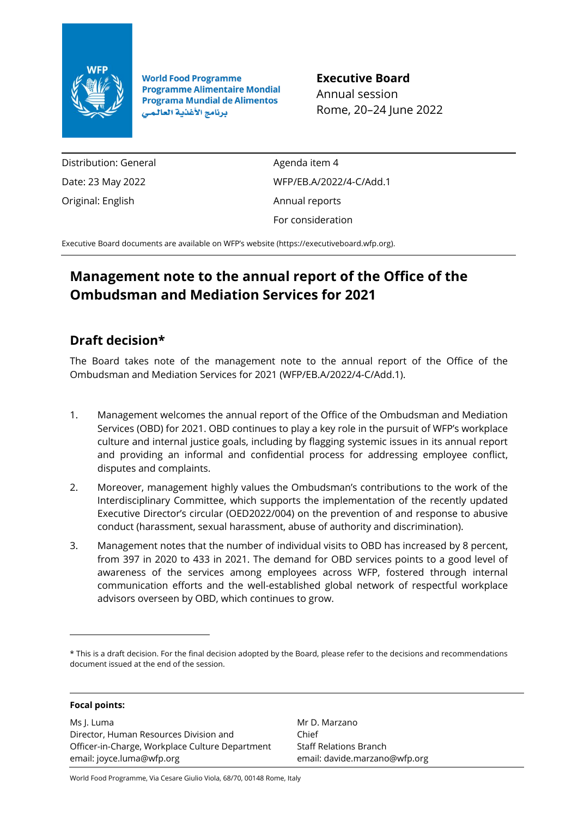

**World Food Programme Programme Alimentaire Mondial Programa Mundial de Alimentos** برنامج الأغذية العالمي

**Executive Board** Annual session Rome, 20–24 June 2022

Distribution: General Date: 23 May 2022 Original: English

Agenda item 4 WFP/EB.A/2022/4-C/Add.1 Annual reports For consideration

Executive Board documents are available on WFP's website [\(https://executiveboard.wfp.org\)](https://executiveboard.wfp.org/).

# **Management note to the annual report of the Office of the Ombudsman and Mediation Services for 2021**

## **Draft decision\***

The Board takes note of the management note to the annual report of the Office of the Ombudsman and Mediation Services for 2021 (WFP/EB.A/2022/4-C/Add.1).

- 1. Management welcomes the annual report of the Office of the Ombudsman and Mediation Services (OBD) for 2021. OBD continues to play a key role in the pursuit of WFP's workplace culture and internal justice goals, including by flagging systemic issues in its annual report and providing an informal and confidential process for addressing employee conflict, disputes and complaints.
- 2. Moreover, management highly values the Ombudsman's contributions to the work of the Interdisciplinary Committee, which supports the implementation of the recently updated Executive Director's circular (OED2022/004) on the prevention of and response to abusive conduct (harassment, sexual harassment, abuse of authority and discrimination).
- 3. Management notes that the number of individual visits to OBD has increased by 8 percent, from 397 in 2020 to 433 in 2021. The demand for OBD services points to a good level of awareness of the services among employees across WFP, fostered through internal communication efforts and the well-established global network of respectful workplace advisors overseen by OBD, which continues to grow.

#### **Focal points:**

Ms J. Luma Director, Human Resources Division and Officer-in-Charge, Workplace Culture Department email: joyce.luma@wfp.org

Mr D. Marzano Chief Staff Relations Branch email: davide.marzano@wfp.org

World Food Programme, Via Cesare Giulio Viola, 68/70, 00148 Rome, Italy

<sup>\*</sup> This is a draft decision. For the final decision adopted by the Board, please refer to the decisions and recommendations document issued at the end of the session.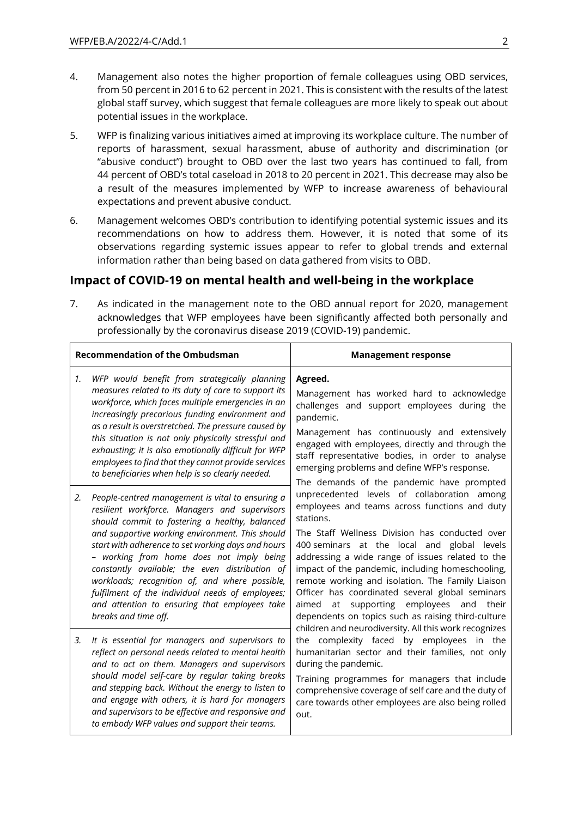- 4. Management also notes the higher proportion of female colleagues using OBD services, from 50 percent in 2016 to 62 percent in 2021. This is consistent with the results of the latest global staff survey, which suggest that female colleagues are more likely to speak out about potential issues in the workplace.
- 5. WFP is finalizing various initiatives aimed at improving its workplace culture. The number of reports of harassment, sexual harassment, abuse of authority and discrimination (or "abusive conduct") brought to OBD over the last two years has continued to fall, from 44 percent of OBD's total caseload in 2018 to 20 percent in 2021. This decrease may also be a result of the measures implemented by WFP to increase awareness of behavioural expectations and prevent abusive conduct.
- 6. Management welcomes OBD's contribution to identifying potential systemic issues and its recommendations on how to address them. However, it is noted that some of its observations regarding systemic issues appear to refer to global trends and external information rather than being based on data gathered from visits to OBD.

#### **Impact of COVID-19 on mental health and well-being in the workplace**

7. As indicated in the management note to the OBD annual report for 2020, management acknowledges that WFP employees have been significantly affected both personally and professionally by the coronavirus disease 2019 (COVID-19) pandemic.

| <b>Recommendation of the Ombudsman</b> |                                                                                                                                                                                                                                                                                                                                                                                                                                                                                                                                           | <b>Management response</b>                                                                                                                                                                                                                                                                                                                                                                                                                                                                                                                                                                                                                                                                                                                                                                                                                                                                                                                                                                                                                                                                                                                                                                                                                                            |
|----------------------------------------|-------------------------------------------------------------------------------------------------------------------------------------------------------------------------------------------------------------------------------------------------------------------------------------------------------------------------------------------------------------------------------------------------------------------------------------------------------------------------------------------------------------------------------------------|-----------------------------------------------------------------------------------------------------------------------------------------------------------------------------------------------------------------------------------------------------------------------------------------------------------------------------------------------------------------------------------------------------------------------------------------------------------------------------------------------------------------------------------------------------------------------------------------------------------------------------------------------------------------------------------------------------------------------------------------------------------------------------------------------------------------------------------------------------------------------------------------------------------------------------------------------------------------------------------------------------------------------------------------------------------------------------------------------------------------------------------------------------------------------------------------------------------------------------------------------------------------------|
| 1.                                     | WFP would benefit from strategically planning<br>measures related to its duty of care to support its<br>workforce, which faces multiple emergencies in an<br>increasingly precarious funding environment and<br>as a result is overstretched. The pressure caused by<br>this situation is not only physically stressful and<br>exhausting; it is also emotionally difficult for WFP<br>employees to find that they cannot provide services<br>to beneficiaries when help is so clearly needed.                                            | Agreed.<br>Management has worked hard to acknowledge<br>challenges and support employees during the<br>pandemic.<br>Management has continuously and extensively<br>engaged with employees, directly and through the<br>staff representative bodies, in order to analyse<br>emerging problems and define WFP's response.<br>The demands of the pandemic have prompted<br>unprecedented levels of collaboration among<br>employees and teams across functions and duty<br>stations.<br>The Staff Wellness Division has conducted over<br>400 seminars at the local and global levels<br>addressing a wide range of issues related to the<br>impact of the pandemic, including homeschooling,<br>remote working and isolation. The Family Liaison<br>Officer has coordinated several global seminars<br>supporting employees<br>aimed<br>at<br>and<br>their<br>dependents on topics such as raising third-culture<br>children and neurodiversity. All this work recognizes<br>the complexity faced by employees in the<br>humanitarian sector and their families, not only<br>during the pandemic.<br>Training programmes for managers that include<br>comprehensive coverage of self care and the duty of<br>care towards other employees are also being rolled<br>out. |
| 2.                                     | People-centred management is vital to ensuring a<br>resilient workforce. Managers and supervisors<br>should commit to fostering a healthy, balanced<br>and supportive working environment. This should<br>start with adherence to set working days and hours<br>- working from home does not imply being<br>constantly available; the even distribution of<br>workloads; recognition of, and where possible,<br>fulfilment of the individual needs of employees;<br>and attention to ensuring that employees take<br>breaks and time off. |                                                                                                                                                                                                                                                                                                                                                                                                                                                                                                                                                                                                                                                                                                                                                                                                                                                                                                                                                                                                                                                                                                                                                                                                                                                                       |
| 3.                                     | It is essential for managers and supervisors to<br>reflect on personal needs related to mental health<br>and to act on them. Managers and supervisors<br>should model self-care by regular taking breaks<br>and stepping back. Without the energy to listen to<br>and engage with others, it is hard for managers<br>and supervisors to be effective and responsive and<br>to embody WFP values and support their teams.                                                                                                                  |                                                                                                                                                                                                                                                                                                                                                                                                                                                                                                                                                                                                                                                                                                                                                                                                                                                                                                                                                                                                                                                                                                                                                                                                                                                                       |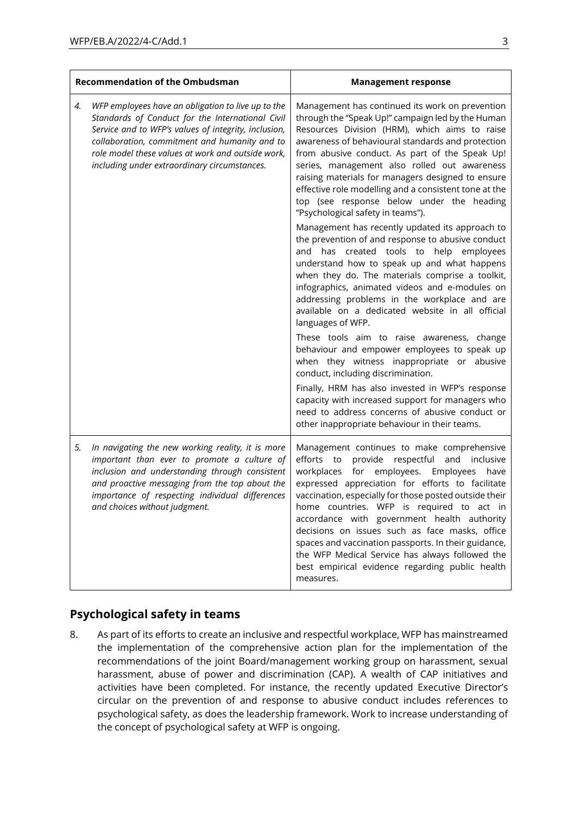| <b>Recommendation of the Ombudsman</b> |                                                                                                                                                                                                                                                                                                                      | <b>Management response</b>                                                                                                                                                                                                                                                                                                                                                                                                                                                                                                                                                                                                                                                                                                                                                                                                                                                                                                                                                                                                                                                                                                                                                                                                                                                                                                                  |
|----------------------------------------|----------------------------------------------------------------------------------------------------------------------------------------------------------------------------------------------------------------------------------------------------------------------------------------------------------------------|---------------------------------------------------------------------------------------------------------------------------------------------------------------------------------------------------------------------------------------------------------------------------------------------------------------------------------------------------------------------------------------------------------------------------------------------------------------------------------------------------------------------------------------------------------------------------------------------------------------------------------------------------------------------------------------------------------------------------------------------------------------------------------------------------------------------------------------------------------------------------------------------------------------------------------------------------------------------------------------------------------------------------------------------------------------------------------------------------------------------------------------------------------------------------------------------------------------------------------------------------------------------------------------------------------------------------------------------|
| 4.                                     | WFP employees have an obligation to live up to the<br>Standards of Conduct for the International Civil<br>Service and to WFP's values of integrity, inclusion,<br>collaboration, commitment and humanity and to<br>role model these values at work and outside work,<br>including under extraordinary circumstances. | Management has continued its work on prevention<br>through the "Speak Up!" campaign led by the Human<br>Resources Division (HRM), which aims to raise<br>awareness of behavioural standards and protection<br>from abusive conduct. As part of the Speak Up!<br>series, management also rolled out awareness<br>raising materials for managers designed to ensure<br>effective role modelling and a consistent tone at the<br>top (see response below under the heading<br>"Psychological safety in teams").<br>Management has recently updated its approach to<br>the prevention of and response to abusive conduct<br>has created tools to help employees<br>and<br>understand how to speak up and what happens<br>when they do. The materials comprise a toolkit,<br>infographics, animated videos and e-modules on<br>addressing problems in the workplace and are<br>available on a dedicated website in all official<br>languages of WFP.<br>These tools aim to raise awareness, change<br>behaviour and empower employees to speak up<br>when they witness inappropriate or abusive<br>conduct, including discrimination.<br>Finally, HRM has also invested in WFP's response<br>capacity with increased support for managers who<br>need to address concerns of abusive conduct or<br>other inappropriate behaviour in their teams. |
| 5.                                     | In navigating the new working reality, it is more<br>important than ever to promote a culture of<br>inclusion and understanding through consistent<br>and proactive messaging from the top about the<br>importance of respecting individual differences<br>and choices without judgment.                             | Management continues to make comprehensive<br>efforts to provide respectful and inclusive<br>workplaces for employees. Employees<br>have<br>expressed appreciation for efforts to facilitate<br>vaccination, especially for those posted outside their<br>home countries. WFP is required to act in<br>accordance with government health authority<br>decisions on issues such as face masks, office<br>spaces and vaccination passports. In their guidance,<br>the WFP Medical Service has always followed the<br>best empirical evidence regarding public health<br>measures.                                                                                                                                                                                                                                                                                                                                                                                                                                                                                                                                                                                                                                                                                                                                                             |

#### **Psychological safety in teams**

8. As part of its efforts to create an inclusive and respectful workplace, WFP has mainstreamed the implementation of the comprehensive action plan for the implementation of the recommendations of the joint Board/management working group on harassment, sexual harassment, abuse of power and discrimination (CAP). A wealth of CAP initiatives and activities have been completed. For instance, the recently updated Executive Director's circular on the prevention of and response to abusive conduct includes references to psychological safety, as does the leadership framework. Work to increase understanding of the concept of psychological safety at WFP is ongoing.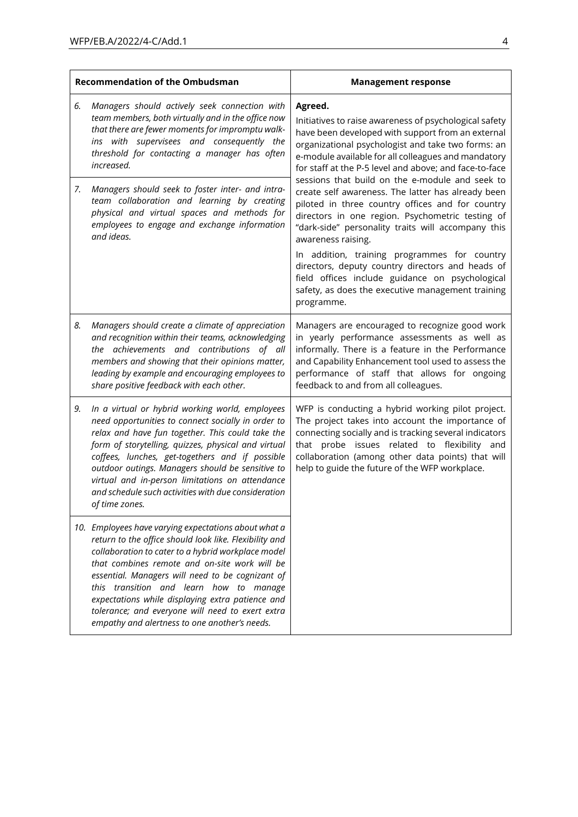| <b>Recommendation of the Ombudsman</b> |                                                                                                                                                                                                                                                                                                                                                                                                                                                                               | <b>Management response</b>                                                                                                                                                                                                                                                                                                                                                                                                                                                                                                                                                                                                                                                                                                                        |
|----------------------------------------|-------------------------------------------------------------------------------------------------------------------------------------------------------------------------------------------------------------------------------------------------------------------------------------------------------------------------------------------------------------------------------------------------------------------------------------------------------------------------------|---------------------------------------------------------------------------------------------------------------------------------------------------------------------------------------------------------------------------------------------------------------------------------------------------------------------------------------------------------------------------------------------------------------------------------------------------------------------------------------------------------------------------------------------------------------------------------------------------------------------------------------------------------------------------------------------------------------------------------------------------|
| 6.                                     | Managers should actively seek connection with<br>team members, both virtually and in the office now<br>that there are fewer moments for impromptu walk-<br>ins with supervisees and consequently the<br>threshold for contacting a manager has often<br>increased.                                                                                                                                                                                                            | Agreed.<br>Initiatives to raise awareness of psychological safety<br>have been developed with support from an external<br>organizational psychologist and take two forms: an<br>e-module available for all colleagues and mandatory<br>for staff at the P-5 level and above; and face-to-face<br>sessions that build on the e-module and seek to<br>create self awareness. The latter has already been<br>piloted in three country offices and for country<br>directors in one region. Psychometric testing of<br>"dark-side" personality traits will accompany this<br>awareness raising.<br>In addition, training programmes for country<br>directors, deputy country directors and heads of<br>field offices include guidance on psychological |
| 7.                                     | Managers should seek to foster inter- and intra-<br>team collaboration and learning by creating<br>physical and virtual spaces and methods for<br>employees to engage and exchange information<br>and ideas.                                                                                                                                                                                                                                                                  |                                                                                                                                                                                                                                                                                                                                                                                                                                                                                                                                                                                                                                                                                                                                                   |
|                                        |                                                                                                                                                                                                                                                                                                                                                                                                                                                                               | safety, as does the executive management training<br>programme.                                                                                                                                                                                                                                                                                                                                                                                                                                                                                                                                                                                                                                                                                   |
| 8.                                     | Managers should create a climate of appreciation<br>and recognition within their teams, acknowledging<br>the achievements and contributions of all<br>members and showing that their opinions matter,<br>leading by example and encouraging employees to<br>share positive feedback with each other.                                                                                                                                                                          | Managers are encouraged to recognize good work<br>in yearly performance assessments as well as<br>informally. There is a feature in the Performance<br>and Capability Enhancement tool used to assess the<br>performance of staff that allows for ongoing<br>feedback to and from all colleagues.                                                                                                                                                                                                                                                                                                                                                                                                                                                 |
| 9.                                     | In a virtual or hybrid working world, employees<br>need opportunities to connect socially in order to<br>relax and have fun together. This could take the<br>form of storytelling, quizzes, physical and virtual<br>coffees, lunches, get-togethers and if possible<br>outdoor outings. Managers should be sensitive to<br>virtual and in-person limitations on attendance<br>and schedule such activities with due consideration<br>of time zones.                           | WFP is conducting a hybrid working pilot project.<br>The project takes into account the importance of<br>connecting socially and is tracking several indicators<br>that probe issues related to flexibility and<br>collaboration (among other data points) that will<br>help to guide the future of the WFP workplace.                                                                                                                                                                                                                                                                                                                                                                                                                            |
|                                        | 10. Employees have varying expectations about what a<br>return to the office should look like. Flexibility and<br>collaboration to cater to a hybrid workplace model<br>that combines remote and on-site work will be<br>essential. Managers will need to be cognizant of<br>this transition and learn how to manage<br>expectations while displaying extra patience and<br>tolerance; and everyone will need to exert extra<br>empathy and alertness to one another's needs. |                                                                                                                                                                                                                                                                                                                                                                                                                                                                                                                                                                                                                                                                                                                                                   |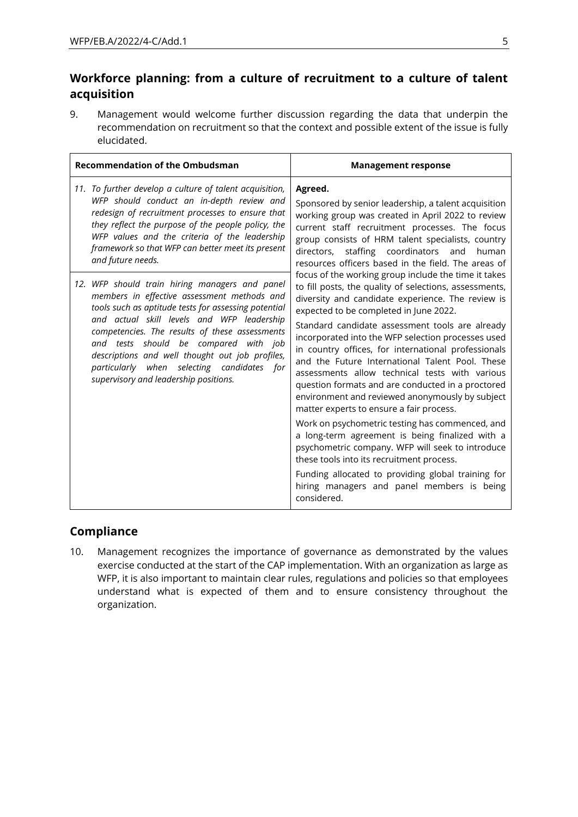## **Workforce planning: from a culture of recruitment to a culture of talent acquisition**

9. Management would welcome further discussion regarding the data that underpin the recommendation on recruitment so that the context and possible extent of the issue is fully elucidated.

| <b>Recommendation of the Ombudsman</b>                                                                                                                                                                                                                                                                                                                                                                                                   | <b>Management response</b>                                                                                                                                                                                                                                                                                                                                                                                                                                                                                                                                                                                                                                                                                                                                                                                                                                                                                                                                                                                                                                                                                                                                                                                                                                                                                 |
|------------------------------------------------------------------------------------------------------------------------------------------------------------------------------------------------------------------------------------------------------------------------------------------------------------------------------------------------------------------------------------------------------------------------------------------|------------------------------------------------------------------------------------------------------------------------------------------------------------------------------------------------------------------------------------------------------------------------------------------------------------------------------------------------------------------------------------------------------------------------------------------------------------------------------------------------------------------------------------------------------------------------------------------------------------------------------------------------------------------------------------------------------------------------------------------------------------------------------------------------------------------------------------------------------------------------------------------------------------------------------------------------------------------------------------------------------------------------------------------------------------------------------------------------------------------------------------------------------------------------------------------------------------------------------------------------------------------------------------------------------------|
| 11. To further develop a culture of talent acquisition,<br>WFP should conduct an in-depth review and<br>redesign of recruitment processes to ensure that<br>they reflect the purpose of the people policy, the<br>WFP values and the criteria of the leadership<br>framework so that WFP can better meet its present<br>and future needs.                                                                                                | Agreed.<br>Sponsored by senior leadership, a talent acquisition<br>working group was created in April 2022 to review<br>current staff recruitment processes. The focus<br>group consists of HRM talent specialists, country<br>staffing coordinators and<br>directors,<br>human<br>resources officers based in the field. The areas of<br>focus of the working group include the time it takes<br>to fill posts, the quality of selections, assessments,<br>diversity and candidate experience. The review is<br>expected to be completed in June 2022.<br>Standard candidate assessment tools are already<br>incorporated into the WFP selection processes used<br>in country offices, for international professionals<br>and the Future International Talent Pool. These<br>assessments allow technical tests with various<br>question formats and are conducted in a proctored<br>environment and reviewed anonymously by subject<br>matter experts to ensure a fair process.<br>Work on psychometric testing has commenced, and<br>a long-term agreement is being finalized with a<br>psychometric company. WFP will seek to introduce<br>these tools into its recruitment process.<br>Funding allocated to providing global training for<br>hiring managers and panel members is being<br>considered. |
| 12. WFP should train hiring managers and panel<br>members in effective assessment methods and<br>tools such as aptitude tests for assessing potential<br>and actual skill levels and WFP leadership<br>competencies. The results of these assessments<br>and tests should be compared with job<br>descriptions and well thought out job profiles,<br>particularly when selecting candidates for<br>supervisory and leadership positions. |                                                                                                                                                                                                                                                                                                                                                                                                                                                                                                                                                                                                                                                                                                                                                                                                                                                                                                                                                                                                                                                                                                                                                                                                                                                                                                            |

#### **Compliance**

10. Management recognizes the importance of governance as demonstrated by the values exercise conducted at the start of the CAP implementation. With an organization as large as WFP, it is also important to maintain clear rules, regulations and policies so that employees understand what is expected of them and to ensure consistency throughout the organization.